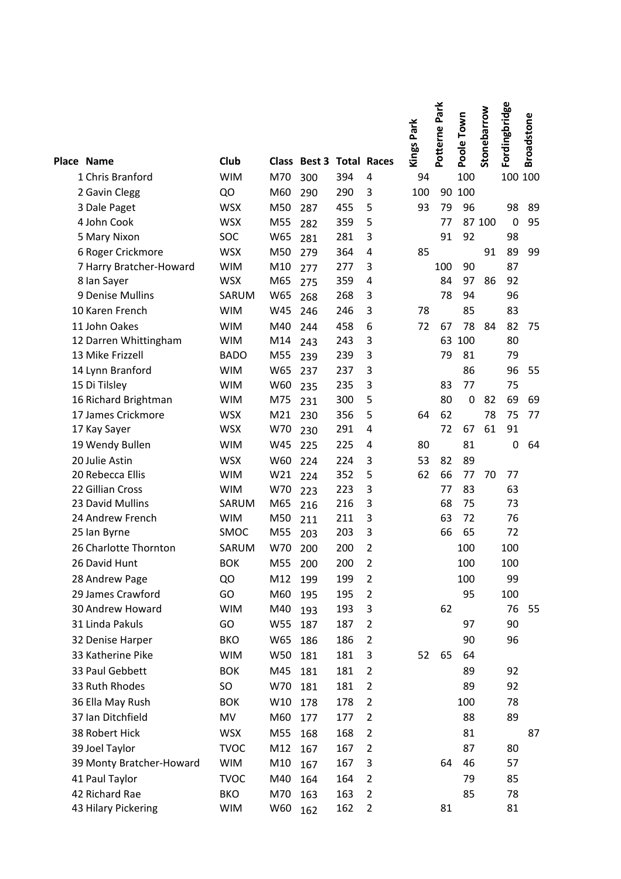| Place Name                           | Club                     |            | <b>Class Best 3 Total Races</b> |            |                | Kings Park | Potterne Park | Poole Town  | Stonebarrow | Fordingbridge | <b>Broadstone</b> |
|--------------------------------------|--------------------------|------------|---------------------------------|------------|----------------|------------|---------------|-------------|-------------|---------------|-------------------|
| 1 Chris Branford                     | <b>WIM</b>               | M70        | 300                             | 394        | 4              | 94         |               | 100         |             | 100 100       |                   |
| 2 Gavin Clegg                        | QO                       | M60        | 290                             | 290        | 3              | 100        | 90            | 100         |             |               |                   |
| 3 Dale Paget                         | <b>WSX</b>               | M50        | 287                             | 455        | 5              | 93         | 79            | 96          |             | 98            | 89                |
| 4 John Cook                          | <b>WSX</b>               | M55        | 282                             | 359        | 5              |            | 77            |             | 87 100      | $\mathbf 0$   | 95                |
| 5 Mary Nixon                         | SOC                      | W65        | 281                             | 281        | 3              |            | 91            | 92          |             | 98            |                   |
| 6 Roger Crickmore                    | <b>WSX</b>               | M50        | 279                             | 364        | 4              | 85         |               |             | 91          | 89            | 99                |
| 7 Harry Bratcher-Howard              | <b>WIM</b>               | M10        | 277                             | 277        | 3              |            | 100           | 90          |             | 87            |                   |
| 8 Ian Sayer                          | <b>WSX</b>               | M65        | 275                             | 359        | 4              |            | 84            | 97          | 86          | 92            |                   |
| 9 Denise Mullins                     | SARUM                    | W65        | 268                             | 268        | 3              |            | 78            | 94          |             | 96            |                   |
| 10 Karen French                      | <b>WIM</b>               | W45        | 246                             | 246        | 3              | 78         |               | 85          |             | 83            |                   |
| 11 John Oakes                        | <b>WIM</b>               | M40        | 244                             | 458        | 6              | 72         | 67            | 78          | 84          | 82            | 75                |
| 12 Darren Whittingham                | <b>WIM</b>               | M14        | 243                             | 243        | 3              |            | 63            | 100         |             | 80            |                   |
| 13 Mike Frizzell                     | <b>BADO</b>              | M55        | 239                             | 239        | 3              |            | 79            | 81          |             | 79            |                   |
| 14 Lynn Branford                     | <b>WIM</b>               | W65        | 237                             | 237        | 3              |            |               | 86          |             | 96            | 55                |
| 15 Di Tilsley                        | <b>WIM</b>               | W60        | 235                             | 235        | 3              |            | 83            | 77          |             | 75            |                   |
| 16 Richard Brightman                 | <b>WIM</b>               | M75        | 231                             | 300        | 5              |            | 80            | $\mathbf 0$ | 82          | 69            | 69                |
| 17 James Crickmore                   | <b>WSX</b>               | M21        | 230                             | 356        | 5              | 64         | 62            |             | 78          | 75            | 77                |
| 17 Kay Sayer                         | <b>WSX</b>               | W70        | 230                             | 291        | 4              |            | 72            | 67          | 61          | 91            |                   |
| 19 Wendy Bullen                      | <b>WIM</b>               | W45        | 225                             | 225        | 4              | 80         |               | 81          |             | $\mathbf 0$   | 64                |
| 20 Julie Astin                       | <b>WSX</b>               | W60        | 224                             | 224        | 3              | 53         | 82            | 89          |             |               |                   |
| 20 Rebecca Ellis<br>22 Gillian Cross | <b>WIM</b><br><b>WIM</b> | W21<br>W70 | 224                             | 352<br>223 | 5<br>3         | 62         | 66<br>77      | 77<br>83    | 70          | 77<br>63      |                   |
| 23 David Mullins                     | SARUM                    | M65        | 223                             | 216        | 3              |            | 68            | 75          |             | 73            |                   |
| 24 Andrew French                     | <b>WIM</b>               | M50        | 216<br>211                      | 211        | 3              |            | 63            | 72          |             | 76            |                   |
| 25 Ian Byrne                         | SMOC                     | M55        | 203                             | 203        | 3              |            | 66            | 65          |             | 72            |                   |
| 26 Charlotte Thornton                | SARUM                    | W70        | 200                             | 200        | $\overline{2}$ |            |               | 100         |             | 100           |                   |
| 26 David Hunt                        | <b>BOK</b>               | M55        | 200                             | 200        | 2              |            |               | 100         |             | 100           |                   |
| 28 Andrew Page                       | QO                       | M12        | 199                             | 199        | $\overline{2}$ |            |               | 100         |             | 99            |                   |
| 29 James Crawford                    | GO                       | M60        | 195                             | 195        | $\overline{2}$ |            |               | 95          |             | 100           |                   |
| 30 Andrew Howard                     | <b>WIM</b>               | M40        | 193                             | 193        | 3              |            | 62            |             |             | 76            | 55                |
| 31 Linda Pakuls                      | GO                       | W55        | 187                             | 187        | $\overline{2}$ |            |               | 97          |             | 90            |                   |
| 32 Denise Harper                     | <b>BKO</b>               | W65        | 186                             | 186        | $\overline{2}$ |            |               | 90          |             | 96            |                   |
| 33 Katherine Pike                    | <b>WIM</b>               | W50        | 181                             | 181        | 3              | 52         | 65            | 64          |             |               |                   |
| 33 Paul Gebbett                      | <b>BOK</b>               | M45        | 181                             | 181        | $\overline{2}$ |            |               | 89          |             | 92            |                   |
| 33 Ruth Rhodes                       | SO                       | W70        | 181                             | 181        | $\overline{2}$ |            |               | 89          |             | 92            |                   |
| 36 Ella May Rush                     | <b>BOK</b>               | W10        | 178                             | 178        | $\overline{2}$ |            |               | 100         |             | 78            |                   |
| 37 Ian Ditchfield                    | MV                       | M60        | 177                             | 177        | $\overline{2}$ |            |               | 88          |             | 89            |                   |
| 38 Robert Hick                       | <b>WSX</b>               | M55        | 168                             | 168        | $\overline{2}$ |            |               | 81          |             |               | 87                |
| 39 Joel Taylor                       | <b>TVOC</b>              | M12        | 167                             | 167        | $\overline{2}$ |            |               | 87          |             | 80            |                   |
| 39 Monty Bratcher-Howard             | <b>WIM</b>               | M10        | 167                             | 167        | 3              |            | 64            | 46          |             | 57            |                   |
| 41 Paul Taylor                       | <b>TVOC</b>              | M40        | 164                             | 164        | $\overline{2}$ |            |               | 79          |             | 85            |                   |
| 42 Richard Rae                       | <b>BKO</b>               | M70        | 163                             | 163        | $\overline{2}$ |            |               | 85          |             | 78            |                   |
| 43 Hilary Pickering                  | <b>WIM</b>               | W60        | 162                             | 162        | $\overline{2}$ |            | 81            |             |             | 81            |                   |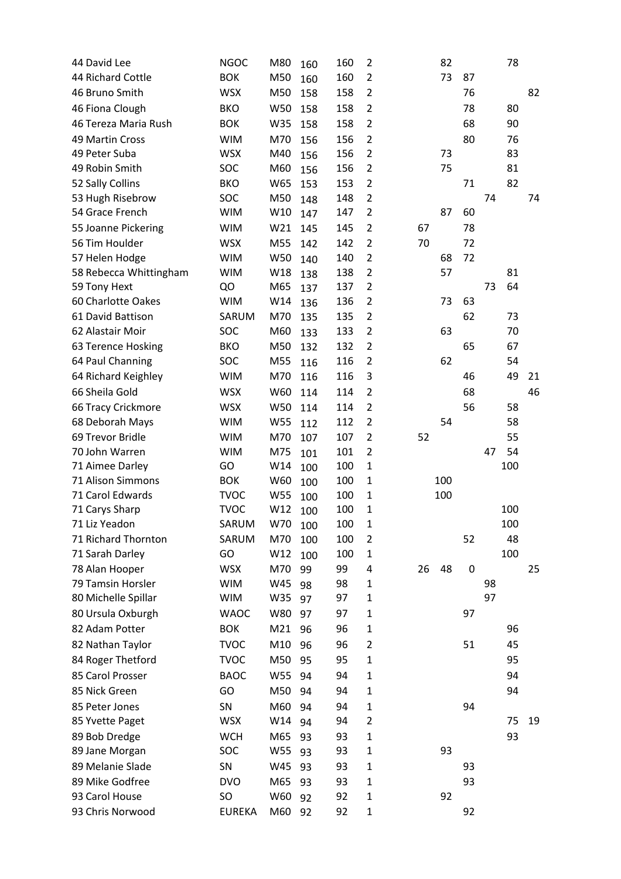| 44 David Lee                        | <b>NGOC</b>   | M80     | 160        | 160 | $\overline{2}$ |    | 82  |           |    | 78  |    |
|-------------------------------------|---------------|---------|------------|-----|----------------|----|-----|-----------|----|-----|----|
| 44 Richard Cottle                   | <b>BOK</b>    | M50     | 160        | 160 | $\overline{2}$ |    | 73  | 87        |    |     |    |
| 46 Bruno Smith                      | <b>WSX</b>    | M50     | 158        | 158 | $\overline{2}$ |    |     | 76        |    |     | 82 |
| 46 Fiona Clough                     | <b>BKO</b>    | W50     | 158        | 158 | $\overline{2}$ |    |     | 78        |    | 80  |    |
| 46 Tereza Maria Rush                | <b>BOK</b>    | W35     | 158        | 158 | $\overline{2}$ |    |     | 68        |    | 90  |    |
| 49 Martin Cross                     | <b>WIM</b>    | M70     | 156        | 156 | $\overline{2}$ |    |     | 80        |    | 76  |    |
| 49 Peter Suba                       | <b>WSX</b>    | M40     | 156        | 156 | $\overline{2}$ |    | 73  |           |    | 83  |    |
| 49 Robin Smith                      | SOC           | M60     | 156        | 156 | $\overline{2}$ |    | 75  |           |    | 81  |    |
| 52 Sally Collins                    | <b>BKO</b>    | W65     | 153        | 153 | $\overline{2}$ |    |     | 71        |    | 82  |    |
| 53 Hugh Risebrow                    | SOC           | M50     | 148        | 148 | $\overline{2}$ |    |     |           | 74 |     | 74 |
| 54 Grace French                     | <b>WIM</b>    | W10     | 147        | 147 | $\overline{2}$ |    | 87  | 60        |    |     |    |
| 55 Joanne Pickering                 | <b>WIM</b>    | W21     | 145        | 145 | $\overline{2}$ | 67 |     | 78        |    |     |    |
| 56 Tim Houlder                      | <b>WSX</b>    | M55     | 142        | 142 | $\overline{2}$ | 70 |     | 72        |    |     |    |
| 57 Helen Hodge                      | <b>WIM</b>    | W50     | 140        | 140 | $\overline{2}$ |    | 68  | 72        |    |     |    |
| 58 Rebecca Whittingham              | <b>WIM</b>    | W18     | 138        | 138 | $\overline{2}$ |    | 57  |           |    | 81  |    |
| 59 Tony Hext                        | QO            | M65     | 137        | 137 | $\overline{2}$ |    |     |           | 73 | 64  |    |
| 60 Charlotte Oakes                  | <b>WIM</b>    | W14     | 136        | 136 | $\overline{2}$ |    | 73  | 63        |    |     |    |
| 61 David Battison                   | SARUM         | M70     | 135        | 135 | $\overline{2}$ |    |     | 62        |    | 73  |    |
| 62 Alastair Moir                    | SOC           | M60     | 133        | 133 | $\overline{2}$ |    | 63  |           |    | 70  |    |
| 63 Terence Hosking                  | <b>BKO</b>    | M50     | 132        | 132 | $\overline{2}$ |    |     | 65        |    | 67  |    |
| 64 Paul Channing                    | SOC           | M55     | 116        | 116 | $\overline{2}$ |    | 62  |           |    | 54  |    |
| 64 Richard Keighley                 | <b>WIM</b>    | M70     | 116        | 116 | 3              |    |     | 46        |    | 49  | 21 |
| 66 Sheila Gold                      | <b>WSX</b>    | W60     | 114        | 114 | $\overline{2}$ |    |     | 68        |    |     | 46 |
| 66 Tracy Crickmore                  | <b>WSX</b>    | W50     | 114        | 114 | $\overline{2}$ |    |     | 56        |    | 58  |    |
| 68 Deborah Mays                     | <b>WIM</b>    | W55     |            | 112 | $\overline{2}$ |    | 54  |           |    | 58  |    |
| 69 Trevor Bridle                    | <b>WIM</b>    | M70     | 112        | 107 | $\overline{2}$ | 52 |     |           |    | 55  |    |
| 70 John Warren                      | <b>WIM</b>    | M75     | 107        | 101 | $\overline{2}$ |    |     |           | 47 | 54  |    |
| 71 Aimee Darley                     | GO            | W14     | 101        | 100 | $\mathbf{1}$   |    |     |           |    | 100 |    |
| 71 Alison Simmons                   | <b>BOK</b>    | W60     | 100        | 100 | $\mathbf{1}$   |    | 100 |           |    |     |    |
| 71 Carol Edwards                    | <b>TVOC</b>   | W55     | 100        | 100 | $\mathbf{1}$   |    | 100 |           |    |     |    |
| 71 Carys Sharp                      | <b>TVOC</b>   | W12     | 100<br>100 | 100 | $\mathbf{1}$   |    |     |           |    | 100 |    |
| 71 Liz Yeadon                       | SARUM         | W70 100 |            | 100 | 1              |    |     |           |    | 100 |    |
| 71 Richard Thornton                 | SARUM         | M70     |            | 100 | $\overline{2}$ |    |     | 52        |    | 48  |    |
| 71 Sarah Darley                     | GO            | W12     | 100        | 100 | $\mathbf{1}$   |    |     |           |    | 100 |    |
|                                     | <b>WSX</b>    | M70     | 100        | 99  | 4              |    | 48  | $\pmb{0}$ |    |     |    |
| 78 Alan Hooper<br>79 Tamsin Horsler | <b>WIM</b>    | W45     | 99         | 98  | $\mathbf{1}$   | 26 |     |           | 98 |     | 25 |
| 80 Michelle Spillar                 | <b>WIM</b>    | W35     | 98         | 97  | 1              |    |     |           | 97 |     |    |
| 80 Ursula Oxburgh                   | <b>WAOC</b>   | W80     | 97         | 97  | $\mathbf{1}$   |    |     | 97        |    |     |    |
| 82 Adam Potter                      | <b>BOK</b>    |         | 97         |     |                |    |     |           |    |     |    |
|                                     |               | M21     | 96         | 96  | $\mathbf{1}$   |    |     |           |    | 96  |    |
| 82 Nathan Taylor                    | <b>TVOC</b>   | M10     | 96         | 96  | 2              |    |     | 51        |    | 45  |    |
| 84 Roger Thetford                   | <b>TVOC</b>   | M50     | 95         | 95  | $\mathbf{1}$   |    |     |           |    | 95  |    |
| 85 Carol Prosser                    | <b>BAOC</b>   | W55     | 94         | 94  | $\mathbf{1}$   |    |     |           |    | 94  |    |
| 85 Nick Green                       | GO            | M50     | 94         | 94  | $\mathbf{1}$   |    |     |           |    | 94  |    |
| 85 Peter Jones                      | SN            | M60     | 94         | 94  | $\mathbf{1}$   |    |     | 94        |    |     |    |
| 85 Yvette Paget                     | <b>WSX</b>    | W14     | 94         | 94  | 2              |    |     |           |    | 75  | 19 |
| 89 Bob Dredge                       | <b>WCH</b>    | M65     | 93         | 93  | $\mathbf{1}$   |    |     |           |    | 93  |    |
| 89 Jane Morgan                      | SOC           | W55     | 93         | 93  | $\mathbf{1}$   |    | 93  |           |    |     |    |
| 89 Melanie Slade                    | SN            | W45     | 93         | 93  | $\mathbf{1}$   |    |     | 93        |    |     |    |
| 89 Mike Godfree                     | <b>DVO</b>    | M65     | 93         | 93  | $\mathbf{1}$   |    |     | 93        |    |     |    |
| 93 Carol House                      | SO            | W60     | 92         | 92  | $\mathbf{1}$   |    | 92  |           |    |     |    |
| 93 Chris Norwood                    | <b>EUREKA</b> | M60     | 92         | 92  | $\mathbf{1}$   |    |     | 92        |    |     |    |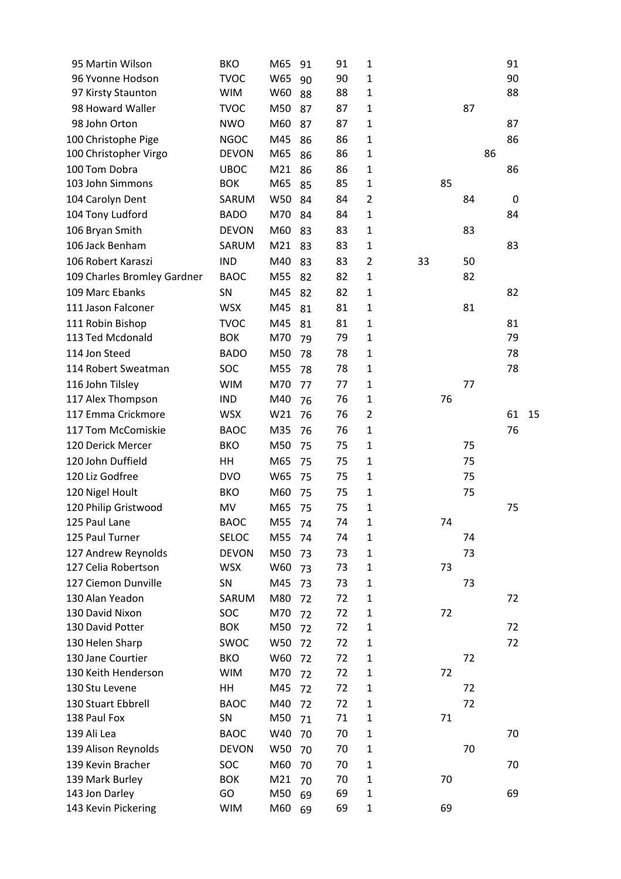| 95 Martin Wilson                      | <b>BKO</b>               | M65        | 91       | 91       | $\mathbf{1}$                 |    |    |    |    | 91 |    |
|---------------------------------------|--------------------------|------------|----------|----------|------------------------------|----|----|----|----|----|----|
| 96 Yvonne Hodson                      | <b>TVOC</b>              | W65        | 90       | 90       | $\mathbf{1}$                 |    |    |    |    | 90 |    |
| 97 Kirsty Staunton                    | <b>WIM</b>               | W60        | 88       | 88       | $\mathbf{1}$                 |    |    |    |    | 88 |    |
| 98 Howard Waller                      | <b>TVOC</b>              | M50        | 87       | 87       | $\mathbf{1}$                 |    |    | 87 |    |    |    |
| 98 John Orton                         | <b>NWO</b>               | M60        | 87       | 87       | $\mathbf{1}$                 |    |    |    |    | 87 |    |
| 100 Christophe Pige                   | <b>NGOC</b>              | M45        | 86       | 86       | $\mathbf{1}$                 |    |    |    |    | 86 |    |
| 100 Christopher Virgo                 | <b>DEVON</b>             | M65        | 86       | 86       | $\mathbf 1$                  |    |    |    | 86 |    |    |
| 100 Tom Dobra                         | <b>UBOC</b>              | M21        | 86       | 86       | $\mathbf{1}$                 |    |    |    |    | 86 |    |
| 103 John Simmons                      | <b>BOK</b>               | M65        | 85       | 85       | $\mathbf 1$                  |    | 85 |    |    |    |    |
| 104 Carolyn Dent                      | SARUM                    | W50        | 84       | 84       | $\overline{2}$               |    |    | 84 |    | 0  |    |
| 104 Tony Ludford                      | <b>BADO</b>              | M70        | 84       | 84       | $\mathbf{1}$                 |    |    |    |    | 84 |    |
| 106 Bryan Smith                       | <b>DEVON</b>             | M60        | 83       | 83       | $\mathbf{1}$                 |    |    | 83 |    |    |    |
| 106 Jack Benham                       | SARUM                    | M21        | 83       | 83       | $\mathbf{1}$                 |    |    |    |    | 83 |    |
| 106 Robert Karaszi                    | <b>IND</b>               | M40        | 83       | 83       | $\overline{c}$               | 33 |    | 50 |    |    |    |
| 109 Charles Bromley Gardner           | <b>BAOC</b>              | M55        | 82       | 82       | $\mathbf{1}$                 |    |    | 82 |    |    |    |
| 109 Marc Ebanks                       | SN                       | M45        | 82       | 82       | $\mathbf{1}$                 |    |    |    |    | 82 |    |
| 111 Jason Falconer                    | <b>WSX</b>               | M45        |          | 81       | $\mathbf{1}$                 |    |    | 81 |    |    |    |
|                                       | <b>TVOC</b>              | M45        | 81       |          |                              |    |    |    |    | 81 |    |
| 111 Robin Bishop<br>113 Ted Mcdonald  | <b>BOK</b>               | M70        | 81       | 81<br>79 | $\mathbf{1}$<br>$\mathbf{1}$ |    |    |    |    | 79 |    |
| 114 Jon Steed                         | <b>BADO</b>              | M50        | 79       |          | $\mathbf{1}$                 |    |    |    |    | 78 |    |
| 114 Robert Sweatman                   | SOC                      | M55        | 78       | 78<br>78 | $\mathbf{1}$                 |    |    |    |    | 78 |    |
|                                       | <b>WIM</b>               | M70        | 78       |          |                              |    |    | 77 |    |    |    |
| 116 John Tilsley<br>117 Alex Thompson | <b>IND</b>               | M40        | 77       | 77<br>76 | $\mathbf{1}$<br>$\mathbf{1}$ |    | 76 |    |    |    |    |
| 117 Emma Crickmore                    | <b>WSX</b>               | W21        | 76<br>76 | 76       | $\overline{2}$               |    |    |    |    | 61 | 15 |
| 117 Tom McComiskie                    | <b>BAOC</b>              | M35        |          | 76       | $\mathbf{1}$                 |    |    |    |    | 76 |    |
| 120 Derick Mercer                     |                          |            | 76       | 75       |                              |    |    | 75 |    |    |    |
|                                       | <b>BKO</b>               | M50        | 75       |          | $\mathbf{1}$                 |    |    |    |    |    |    |
| 120 John Duffield                     | HH                       | M65        | 75       | 75       | $\mathbf{1}$                 |    |    | 75 |    |    |    |
| 120 Liz Godfree                       | <b>DVO</b>               | W65        | 75       | 75       | $\mathbf{1}$                 |    |    | 75 |    |    |    |
| 120 Nigel Hoult                       | <b>BKO</b>               | M60        | 75       | 75       | $\mathbf{1}$                 |    |    | 75 |    |    |    |
| 120 Philip Gristwood                  | MV                       | M65        | 75       | 75       | $\mathbf 1$                  |    |    |    |    | 75 |    |
| 125 Paul Lane                         | <b>BAOC</b>              | M55        | 74       | 74       | 1                            |    | 74 |    |    |    |    |
| 125 Paul Turner                       | SELOC                    | M55        | 74       | 74       | 1                            |    |    | 74 |    |    |    |
| 127 Andrew Reynolds                   | <b>DEVON</b>             | M50        | 73       | 73       | $\mathbf{1}$                 |    | 73 | 73 |    |    |    |
| 127 Celia Robertson                   | <b>WSX</b>               | W60        | 73       | 73       | $\mathbf 1$                  |    |    |    |    |    |    |
| 127 Ciemon Dunville                   | SN                       | M45        | 73       | 73       | $\mathbf{1}$                 |    |    | 73 |    |    |    |
| 130 Alan Yeadon                       | SARUM                    | M80        | 72       | 72       | $\mathbf 1$                  |    |    |    |    | 72 |    |
| 130 David Nixon<br>130 David Potter   | SOC<br><b>BOK</b>        | M70<br>M50 | 72       | 72<br>72 | $\mathbf 1$<br>$\mathbf{1}$  |    | 72 |    |    | 72 |    |
|                                       | <b>SWOC</b>              | W50        | 72       | 72       | $\mathbf{1}$                 |    |    |    |    | 72 |    |
| 130 Helen Sharp<br>130 Jane Courtier  |                          | W60        | 72       |          |                              |    |    | 72 |    |    |    |
| 130 Keith Henderson                   | <b>BKO</b><br><b>WIM</b> | M70        | 72       | 72<br>72 | $\mathbf{1}$<br>$\mathbf{1}$ |    | 72 |    |    |    |    |
| 130 Stu Levene                        | HH                       | M45        | 72       | 72       | $\mathbf{1}$                 |    |    | 72 |    |    |    |
|                                       |                          |            | 72       |          |                              |    |    |    |    |    |    |
| 130 Stuart Ebbrell<br>138 Paul Fox    | <b>BAOC</b><br>SN        | M40<br>M50 | 72       | 72<br>71 | $\mathbf{1}$<br>$\mathbf{1}$ |    | 71 | 72 |    |    |    |
| 139 Ali Lea                           | <b>BAOC</b>              | W40        | 71       | 70       | $\mathbf{1}$                 |    |    |    |    | 70 |    |
|                                       |                          |            | 70       |          |                              |    |    |    |    |    |    |
| 139 Alison Reynolds                   | <b>DEVON</b>             | W50        | 70       | 70       | $\mathbf{1}$                 |    |    | 70 |    |    |    |
| 139 Kevin Bracher                     | SOC                      | M60        | 70       | 70       | $\mathbf{1}$                 |    |    |    |    | 70 |    |
| 139 Mark Burley                       | <b>BOK</b><br>GO         | M21<br>M50 | 70       | 70<br>69 | $\mathbf{1}$<br>1            |    | 70 |    |    | 69 |    |
| 143 Jon Darley<br>143 Kevin Pickering | <b>WIM</b>               | M60        | 69       | 69       | $\mathbf{1}$                 |    | 69 |    |    |    |    |
|                                       |                          |            | 69       |          |                              |    |    |    |    |    |    |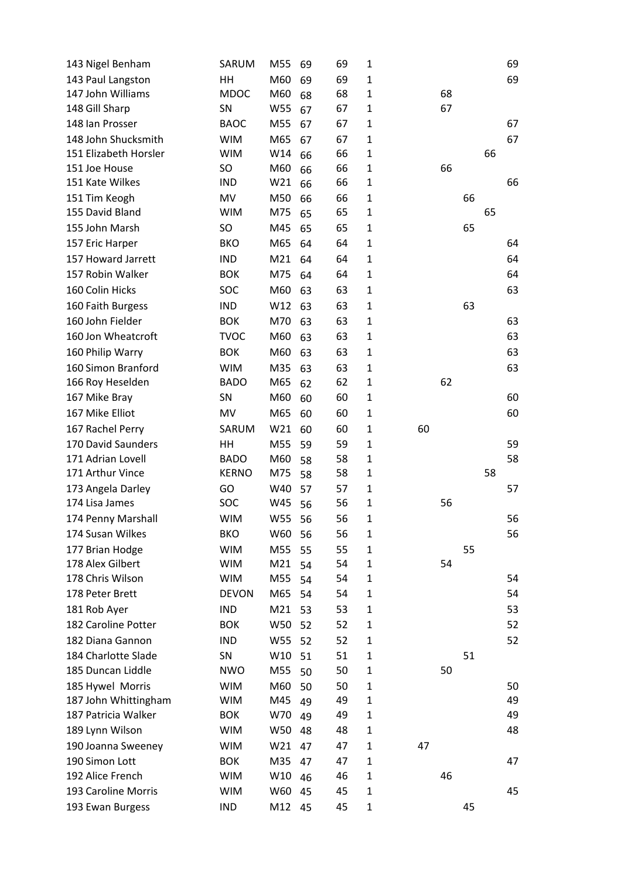| 143 Nigel Benham                    | SARUM                    | M55 | 69       | 69       | 1                            |    |    |    |    | 69 |
|-------------------------------------|--------------------------|-----|----------|----------|------------------------------|----|----|----|----|----|
| 143 Paul Langston                   | HH                       | M60 | 69       | 69       | $\mathbf{1}$                 |    |    |    |    | 69 |
| 147 John Williams                   | <b>MDOC</b>              | M60 | 68       | 68       | $\mathbf 1$                  |    | 68 |    |    |    |
| 148 Gill Sharp                      | SN                       | W55 | 67       | 67       | $\mathbf{1}$                 |    | 67 |    |    |    |
| 148 Ian Prosser                     | <b>BAOC</b>              | M55 | 67       | 67       | $\mathbf{1}$                 |    |    |    |    | 67 |
| 148 John Shucksmith                 | <b>WIM</b>               | M65 | 67       | 67       | $\mathbf{1}$                 |    |    |    |    | 67 |
| 151 Elizabeth Horsler               | <b>WIM</b>               | W14 | 66       | 66       | $\mathbf{1}$                 |    |    |    | 66 |    |
| 151 Joe House                       | <b>SO</b>                | M60 | 66       | 66       | $\mathbf{1}$                 |    | 66 |    |    |    |
| 151 Kate Wilkes                     | <b>IND</b>               | W21 | 66       | 66       | $\mathbf 1$                  |    |    |    |    | 66 |
| 151 Tim Keogh                       | MV                       | M50 | 66       | 66       | $\mathbf{1}$                 |    |    | 66 |    |    |
| 155 David Bland                     | <b>WIM</b>               | M75 | 65       | 65       | $\mathbf{1}$                 |    |    |    | 65 |    |
| 155 John Marsh                      | <b>SO</b>                | M45 | 65       | 65       | $\mathbf{1}$                 |    |    | 65 |    |    |
| 157 Eric Harper                     | <b>BKO</b>               | M65 | 64       | 64       | $\mathbf{1}$                 |    |    |    |    | 64 |
| 157 Howard Jarrett                  | <b>IND</b>               | M21 | 64       | 64       | $\mathbf{1}$                 |    |    |    |    | 64 |
| 157 Robin Walker                    | <b>BOK</b>               | M75 | 64       | 64       | $\mathbf{1}$                 |    |    |    |    | 64 |
| 160 Colin Hicks                     | <b>SOC</b>               | M60 | 63       | 63       | $\mathbf{1}$                 |    |    |    |    | 63 |
| 160 Faith Burgess                   | <b>IND</b>               | W12 | 63       | 63       | $\mathbf{1}$                 |    |    | 63 |    |    |
| 160 John Fielder                    | <b>BOK</b>               | M70 | 63       | 63       | $\mathbf{1}$                 |    |    |    |    | 63 |
| 160 Jon Wheatcroft                  | <b>TVOC</b>              | M60 | 63       | 63       | $\mathbf{1}$                 |    |    |    |    | 63 |
| 160 Philip Warry                    | <b>BOK</b>               | M60 | 63       | 63       | $\mathbf{1}$                 |    |    |    |    | 63 |
| 160 Simon Branford                  | <b>WIM</b>               | M35 | 63       | 63       | $\mathbf{1}$                 |    |    |    |    | 63 |
| 166 Roy Heselden                    | <b>BADO</b>              | M65 | 62       | 62       | $\mathbf{1}$                 |    | 62 |    |    |    |
| 167 Mike Bray                       | SN                       | M60 | 60       | 60       | $\mathbf{1}$                 |    |    |    |    | 60 |
| 167 Mike Elliot                     | MV                       | M65 | 60       | 60       | $\mathbf{1}$                 |    |    |    |    | 60 |
| 167 Rachel Perry                    | SARUM                    | W21 | 60       | 60       | $\mathbf{1}$                 | 60 |    |    |    |    |
| 170 David Saunders                  | HH                       | M55 | 59       | 59       | $\mathbf{1}$                 |    |    |    |    | 59 |
| 171 Adrian Lovell                   | <b>BADO</b>              | M60 |          | 58       | $\mathbf{1}$                 |    |    |    |    | 58 |
| 171 Arthur Vince                    | <b>KERNO</b>             | M75 | 58<br>58 | 58       | $\mathbf{1}$                 |    |    |    | 58 |    |
| 173 Angela Darley                   | GO                       | W40 | 57       | 57       | $\mathbf{1}$                 |    |    |    |    | 57 |
| 174 Lisa James                      | <b>SOC</b>               | W45 | 56       | 56       | $\mathbf{1}$                 |    | 56 |    |    |    |
| 174 Penny Marshall                  | <b>WIM</b>               | W55 | 56       | 56       | $\mathbf{1}$                 |    |    |    |    | 56 |
| 174 Susan Wilkes                    | <b>BKO</b>               | W60 |          | 56       |                              |    |    |    |    | 56 |
|                                     |                          | M55 | 56       |          | 1                            |    |    |    |    |    |
| 177 Brian Hodge<br>178 Alex Gilbert | <b>WIM</b>               |     | 55       | 55       | $\mathbf{1}$                 |    |    | 55 |    |    |
| 178 Chris Wilson                    | <b>WIM</b><br><b>WIM</b> | M21 | 54       | 54<br>54 | $\mathbf{1}$<br>$\mathbf{1}$ |    | 54 |    |    | 54 |
|                                     |                          | M55 | 54       |          |                              |    |    |    |    |    |
| 178 Peter Brett                     | <b>DEVON</b>             | M65 | 54       | 54       | $\mathbf{1}$                 |    |    |    |    | 54 |
| 181 Rob Ayer                        | <b>IND</b>               | M21 | 53       | 53       | $\mathbf{1}$                 |    |    |    |    | 53 |
| 182 Caroline Potter                 | <b>BOK</b>               | W50 | 52       | 52       | $\mathbf{1}$                 |    |    |    |    | 52 |
| 182 Diana Gannon                    | <b>IND</b>               | W55 | 52       | 52       | $\mathbf{1}$                 |    |    |    |    | 52 |
| 184 Charlotte Slade                 | SN                       | W10 | 51       | 51       | $\mathbf{1}$                 |    |    | 51 |    |    |
| 185 Duncan Liddle                   | <b>NWO</b>               | M55 | 50       | 50       | $\mathbf{1}$                 |    | 50 |    |    |    |
| 185 Hywel Morris                    | <b>WIM</b>               | M60 | 50       | 50       | $\mathbf{1}$                 |    |    |    |    | 50 |
| 187 John Whittingham                | <b>WIM</b>               | M45 | 49       | 49       | $\mathbf{1}$                 |    |    |    |    | 49 |
| 187 Patricia Walker                 | <b>BOK</b>               | W70 | 49       | 49       | $\mathbf{1}$                 |    |    |    |    | 49 |
| 189 Lynn Wilson                     | <b>WIM</b>               | W50 | 48       | 48       | $\mathbf{1}$                 |    |    |    |    | 48 |
| 190 Joanna Sweeney                  | <b>WIM</b>               | W21 | 47       | 47       | $\mathbf{1}$                 | 47 |    |    |    |    |
| 190 Simon Lott                      | <b>BOK</b>               | M35 | 47       | 47       | $\mathbf{1}$                 |    |    |    |    | 47 |
| 192 Alice French                    | <b>WIM</b>               | W10 | 46       | 46       | $\mathbf 1$                  |    | 46 |    |    |    |
| 193 Caroline Morris                 | <b>WIM</b>               | W60 | 45       | 45       | $\mathbf{1}$                 |    |    |    |    | 45 |
| 193 Ewan Burgess                    | <b>IND</b>               | M12 | 45       | 45       | $\mathbf{1}$                 |    |    | 45 |    |    |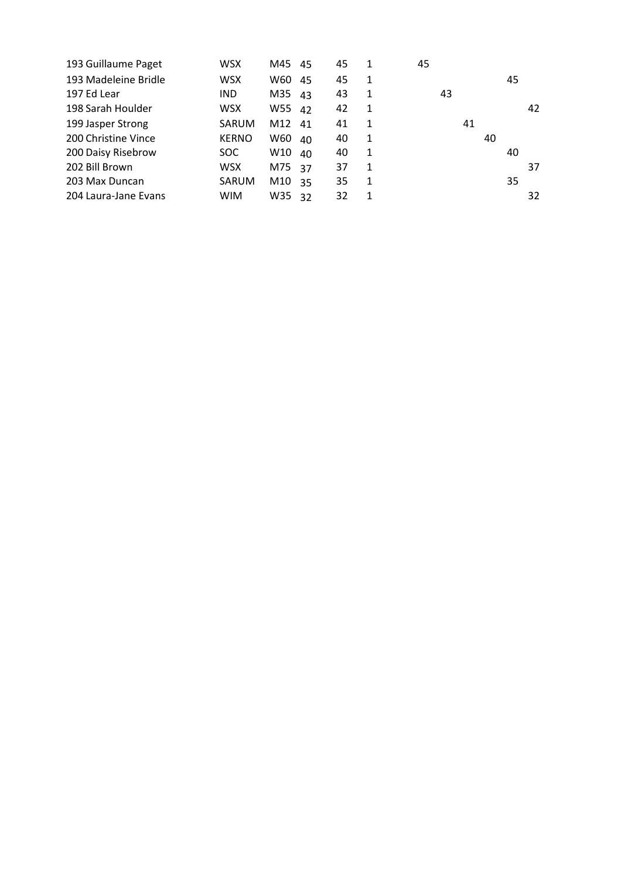| 193 Guillaume Paget  | <b>WSX</b>   | M45    | 45 | 45 | 1 | 45 |    |    |    |    |
|----------------------|--------------|--------|----|----|---|----|----|----|----|----|
| 193 Madeleine Bridle | <b>WSX</b>   | W60    | 45 | 45 | 1 |    |    |    | 45 |    |
| 197 Ed Lear          | <b>IND</b>   | M35    | 43 | 43 | 1 | 43 |    |    |    |    |
| 198 Sarah Houlder    | WSX          | W55    | 42 | 42 | 1 |    |    |    |    | 42 |
| 199 Jasper Strong    | SARUM        | M12 41 |    | 41 | 1 |    | 41 |    |    |    |
| 200 Christine Vince  | <b>KERNO</b> | W60    | 40 | 40 | 1 |    |    | 40 |    |    |
| 200 Daisy Risebrow   | SOC.         | W10    | 40 | 40 | 1 |    |    |    | 40 |    |
| 202 Bill Brown       | <b>WSX</b>   | M75    | 37 | 37 | 1 |    |    |    |    | 37 |
| 203 Max Duncan       | SARUM        | M10    | 35 | 35 | 1 |    |    |    | 35 |    |
| 204 Laura-Jane Evans | <b>WIM</b>   | W35    | 32 | 32 | 1 |    |    |    |    | 32 |
|                      |              |        |    |    |   |    |    |    |    |    |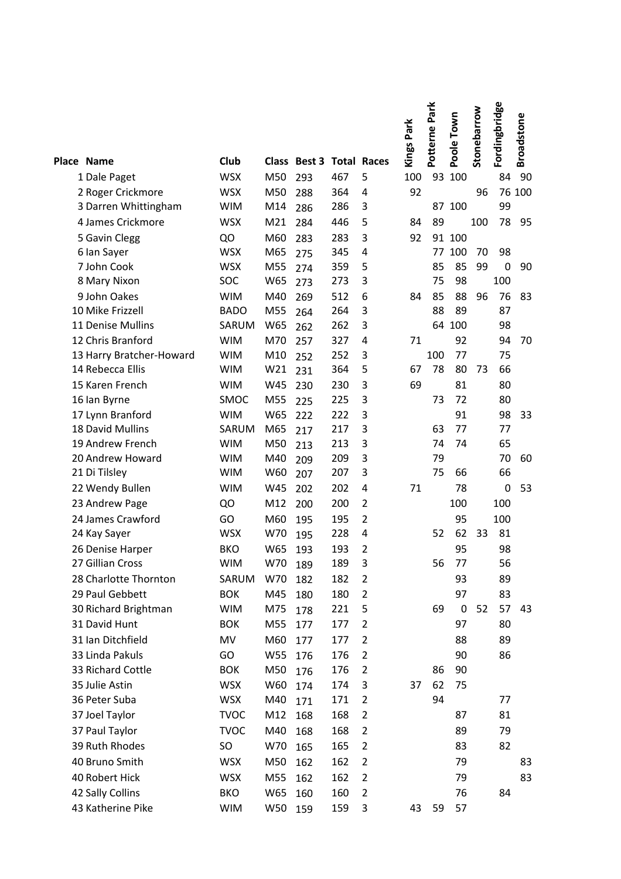| Place Name               | Club        |     | Class Best 3 |     | <b>Total Races</b> | <b>Kings Park</b> | Potterne Park | Poole Town | Stonebarrow | Fordingbridge | <b>Broadstone</b> |
|--------------------------|-------------|-----|--------------|-----|--------------------|-------------------|---------------|------------|-------------|---------------|-------------------|
| 1 Dale Paget             | <b>WSX</b>  | M50 | 293          | 467 | 5                  | 100               | 93            | 100        |             | 84            | 90                |
| 2 Roger Crickmore        | <b>WSX</b>  | M50 | 288          | 364 | 4                  | 92                |               |            | 96          |               | 76 100            |
| 3 Darren Whittingham     | <b>WIM</b>  | M14 | 286          | 286 | 3                  |                   |               | 87 100     |             | 99            |                   |
| 4 James Crickmore        | <b>WSX</b>  | M21 | 284          | 446 | 5                  | 84                | 89            |            | 100         | 78            | 95                |
| 5 Gavin Clegg            | QO          | M60 | 283          | 283 | 3                  | 92                | 91            | 100        |             |               |                   |
| 6 Ian Sayer              | <b>WSX</b>  | M65 | 275          | 345 | 4                  |                   | 77            | 100        | 70          | 98            |                   |
| 7 John Cook              | <b>WSX</b>  | M55 | 274          | 359 | 5                  |                   | 85            | 85         | 99          | $\mathbf 0$   | 90                |
| 8 Mary Nixon             | SOC         | W65 | 273          | 273 | 3                  |                   | 75            | 98         |             | 100           |                   |
| 9 John Oakes             | <b>WIM</b>  | M40 | 269          | 512 | 6                  | 84                | 85            | 88         | 96          | 76            | 83                |
| 10 Mike Frizzell         | <b>BADO</b> | M55 | 264          | 264 | 3                  |                   | 88            | 89         |             | 87            |                   |
| 11 Denise Mullins        | SARUM       | W65 | 262          | 262 | 3                  |                   | 64            | 100        |             | 98            |                   |
| 12 Chris Branford        | <b>WIM</b>  | M70 | 257          | 327 | 4                  | 71                |               | 92         |             | 94            | 70                |
| 13 Harry Bratcher-Howard | <b>WIM</b>  | M10 | 252          | 252 | 3                  |                   | 100           | 77         |             | 75            |                   |
| 14 Rebecca Ellis         | <b>WIM</b>  | W21 | 231          | 364 | 5                  | 67                | 78            | 80         | 73          | 66            |                   |
| 15 Karen French          | <b>WIM</b>  | W45 | 230          | 230 | 3                  | 69                |               | 81         |             | 80            |                   |
| 16 Ian Byrne             | SMOC        | M55 | 225          | 225 | 3                  |                   | 73            | 72         |             | 80            |                   |
| 17 Lynn Branford         | <b>WIM</b>  | W65 | 222          | 222 | 3                  |                   |               | 91         |             | 98            | 33                |
| 18 David Mullins         | SARUM       | M65 | 217          | 217 | 3                  |                   | 63            | 77         |             | 77            |                   |
| 19 Andrew French         | <b>WIM</b>  | M50 | 213          | 213 | 3                  |                   | 74            | 74         |             | 65            |                   |
| 20 Andrew Howard         | <b>WIM</b>  | M40 | 209          | 209 | 3                  |                   | 79            |            |             | 70            | 60                |
| 21 Di Tilsley            | <b>WIM</b>  | W60 | 207          | 207 | 3                  |                   | 75            | 66         |             | 66            |                   |
| 22 Wendy Bullen          | <b>WIM</b>  | W45 | 202          | 202 | 4                  | 71                |               | 78         |             | $\mathbf 0$   | 53                |
| 23 Andrew Page           | QO          | M12 | 200          | 200 | $\overline{2}$     |                   |               | 100        |             | 100           |                   |
| 24 James Crawford        | GO          | M60 | 195          | 195 | $\overline{2}$     |                   |               | 95         |             | 100           |                   |
| 24 Kay Sayer             | <b>WSX</b>  | W70 | 195          | 228 | 4                  |                   | 52            | 62         | 33          | 81            |                   |
| 26 Denise Harper         | <b>BKO</b>  | W65 | 193          | 193 | $\overline{2}$     |                   |               | 95         |             | 98            |                   |
| 27 Gillian Cross         | <b>WIM</b>  | W70 | 189          | 189 | 3                  |                   | 56            | 77         |             | 56            |                   |
| 28 Charlotte Thornton    | SARUM       | W70 | 182          | 182 | $\overline{2}$     |                   |               | 93         |             | 89            |                   |
| 29 Paul Gebbett          | <b>BOK</b>  | M45 | 180          | 180 | $\overline{2}$     |                   |               | 97         |             | 83            |                   |
| 30 Richard Brightman     | <b>WIM</b>  | M75 | 178          | 221 | 5                  |                   | 69            | 0          | 52          | 57            | 43                |
| 31 David Hunt            | <b>BOK</b>  | M55 | 177          | 177 | $\overline{2}$     |                   |               | 97         |             | 80            |                   |
| 31 Ian Ditchfield        | MV          | M60 | 177          | 177 | $\overline{2}$     |                   |               | 88         |             | 89            |                   |
| 33 Linda Pakuls          | GO          | W55 | 176          | 176 | $\overline{2}$     |                   |               | 90         |             | 86            |                   |
| 33 Richard Cottle        | <b>BOK</b>  | M50 | 176          | 176 | $\overline{2}$     |                   | 86            | 90         |             |               |                   |
| 35 Julie Astin           | <b>WSX</b>  | W60 | 174          | 174 | 3                  | 37                | 62            | 75         |             |               |                   |
| 36 Peter Suba            | <b>WSX</b>  | M40 | 171          | 171 | $\overline{2}$     |                   | 94            |            |             | 77            |                   |
| 37 Joel Taylor           | <b>TVOC</b> | M12 | 168          | 168 | $\overline{2}$     |                   |               | 87         |             | 81            |                   |
| 37 Paul Taylor           | <b>TVOC</b> | M40 | 168          | 168 | $\overline{2}$     |                   |               | 89         |             | 79            |                   |
| 39 Ruth Rhodes           | SO          | W70 | 165          | 165 | $\overline{2}$     |                   |               | 83         |             | 82            |                   |
| 40 Bruno Smith           | <b>WSX</b>  | M50 | 162          | 162 | $\overline{2}$     |                   |               | 79         |             |               | 83                |
| 40 Robert Hick           | <b>WSX</b>  | M55 | 162          | 162 | $\overline{2}$     |                   |               | 79         |             |               | 83                |
| 42 Sally Collins         | <b>BKO</b>  | W65 | 160          | 160 | $\overline{2}$     |                   |               | 76         |             | 84            |                   |
| 43 Katherine Pike        | <b>WIM</b>  | W50 | 159          | 159 | 3                  | 43                | 59            | 57         |             |               |                   |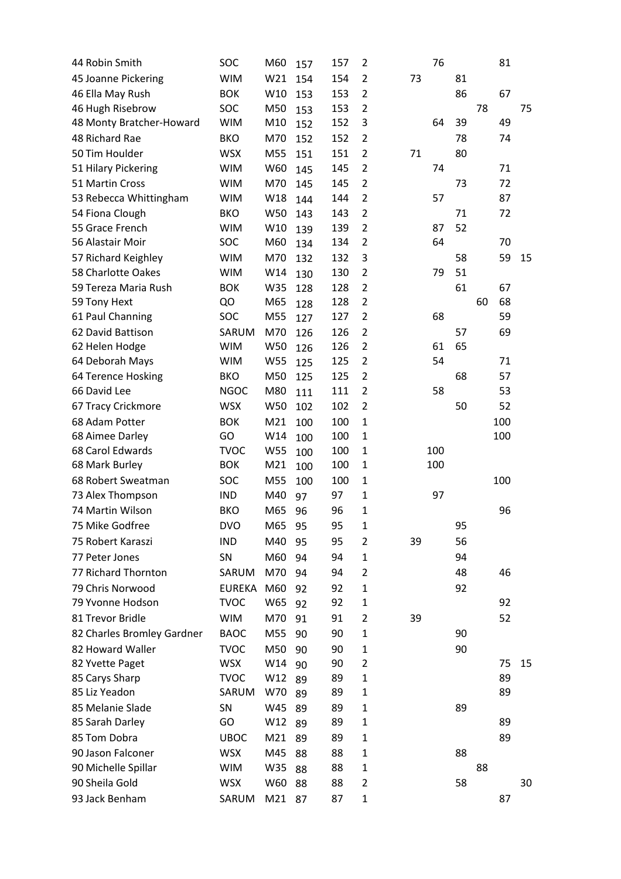| 44 Robin Smith             | SOC         | M60             | 157 | 157 | 2              |    | 76  |    |    | 81  |    |
|----------------------------|-------------|-----------------|-----|-----|----------------|----|-----|----|----|-----|----|
| 45 Joanne Pickering        | <b>WIM</b>  | W21             | 154 | 154 | $\overline{2}$ | 73 |     | 81 |    |     |    |
| 46 Ella May Rush           | <b>BOK</b>  | W10             | 153 | 153 | $\overline{2}$ |    |     | 86 |    | 67  |    |
| 46 Hugh Risebrow           | SOC         | M50             | 153 | 153 | $\overline{2}$ |    |     |    | 78 |     | 75 |
| 48 Monty Bratcher-Howard   | <b>WIM</b>  | M10             | 152 | 152 | 3              |    | 64  | 39 |    | 49  |    |
| 48 Richard Rae             | <b>BKO</b>  | M70             | 152 | 152 | 2              |    |     | 78 |    | 74  |    |
| 50 Tim Houlder             | <b>WSX</b>  | M55             | 151 | 151 | $\overline{2}$ | 71 |     | 80 |    |     |    |
| 51 Hilary Pickering        | <b>WIM</b>  | W60             | 145 | 145 | $\overline{2}$ |    | 74  |    |    | 71  |    |
| 51 Martin Cross            | <b>WIM</b>  | M70             | 145 | 145 | $\overline{2}$ |    |     | 73 |    | 72  |    |
| 53 Rebecca Whittingham     | <b>WIM</b>  | W18             | 144 | 144 | $\overline{2}$ |    | 57  |    |    | 87  |    |
| 54 Fiona Clough            | <b>BKO</b>  | W50             | 143 | 143 | $\overline{2}$ |    |     | 71 |    | 72  |    |
| 55 Grace French            | <b>WIM</b>  | W10             | 139 | 139 | $\overline{2}$ |    | 87  | 52 |    |     |    |
| 56 Alastair Moir           | SOC         | M60             | 134 | 134 | $\overline{2}$ |    | 64  |    |    | 70  |    |
| 57 Richard Keighley        | <b>WIM</b>  | M70             | 132 | 132 | 3              |    |     | 58 |    | 59  | 15 |
| 58 Charlotte Oakes         | <b>WIM</b>  | W14             | 130 | 130 | $\overline{2}$ |    | 79  | 51 |    |     |    |
| 59 Tereza Maria Rush       | <b>BOK</b>  | W35             | 128 | 128 | $\overline{2}$ |    |     | 61 |    | 67  |    |
| 59 Tony Hext               | QO          | M65             | 128 | 128 | $\overline{2}$ |    |     |    | 60 | 68  |    |
| 61 Paul Channing           | SOC         | M55             | 127 | 127 | $\overline{2}$ |    | 68  |    |    | 59  |    |
| 62 David Battison          | SARUM       | M70             | 126 | 126 | $\overline{2}$ |    |     | 57 |    | 69  |    |
| 62 Helen Hodge             | <b>WIM</b>  | W50             | 126 | 126 | $\overline{2}$ |    | 61  | 65 |    |     |    |
| 64 Deborah Mays            | <b>WIM</b>  | W55             | 125 | 125 | $\overline{2}$ |    | 54  |    |    | 71  |    |
| 64 Terence Hosking         | <b>BKO</b>  | M50             | 125 | 125 | 2              |    |     | 68 |    | 57  |    |
| 66 David Lee               | <b>NGOC</b> | M80             | 111 | 111 | $\overline{2}$ |    | 58  |    |    | 53  |    |
| 67 Tracy Crickmore         | <b>WSX</b>  | W50             | 102 | 102 | $\overline{2}$ |    |     | 50 |    | 52  |    |
| 68 Adam Potter             | <b>BOK</b>  | M21             | 100 | 100 | $\mathbf{1}$   |    |     |    |    | 100 |    |
| 68 Aimee Darley            | GO          | W14             | 100 | 100 | $\mathbf{1}$   |    |     |    |    | 100 |    |
| 68 Carol Edwards           | <b>TVOC</b> | W55             | 100 | 100 | $\mathbf{1}$   |    | 100 |    |    |     |    |
| 68 Mark Burley             | <b>BOK</b>  | M21             | 100 | 100 | $\mathbf{1}$   |    | 100 |    |    |     |    |
| 68 Robert Sweatman         | SOC         | M55             | 100 | 100 | $\mathbf{1}$   |    |     |    |    | 100 |    |
| 73 Alex Thompson           | <b>IND</b>  | M40             | 97  | 97  | $\mathbf{1}$   |    | 97  |    |    |     |    |
| 74 Martin Wilson           | <b>BKO</b>  | M65             | 96  | 96  | $\mathbf{1}$   |    |     |    |    | 96  |    |
| 75 Mike Godfree            | <b>DVO</b>  | M65 95          |     | 95  | $\mathbf 1$    |    |     | 95 |    |     |    |
| 75 Robert Karaszi          | <b>IND</b>  | M40             | 95  | 95  | 2              | 39 |     | 56 |    |     |    |
| 77 Peter Jones             | SN          | M60             | 94  | 94  | $\mathbf{1}$   |    |     | 94 |    |     |    |
| 77 Richard Thornton        | SARUM       | M70             | 94  | 94  | 2              |    |     | 48 |    | 46  |    |
| 79 Chris Norwood           | EUREKA M60  |                 | 92  | 92  | $\mathbf{1}$   |    |     | 92 |    |     |    |
| 79 Yvonne Hodson           | <b>TVOC</b> | W65             | 92  | 92  | 1              |    |     |    |    | 92  |    |
| 81 Trevor Bridle           | <b>WIM</b>  | M70             | 91  | 91  | $\overline{2}$ | 39 |     |    |    | 52  |    |
| 82 Charles Bromley Gardner | <b>BAOC</b> | M55             | 90  | 90  | 1              |    |     | 90 |    |     |    |
| 82 Howard Waller           | <b>TVOC</b> | M50             | 90  | 90  | 1              |    |     | 90 |    |     |    |
| 82 Yvette Paget            | <b>WSX</b>  | W14             | 90  | 90  | 2              |    |     |    |    | 75  | 15 |
| 85 Carys Sharp             | <b>TVOC</b> | W12             | 89  | 89  | $\mathbf{1}$   |    |     |    |    | 89  |    |
| 85 Liz Yeadon              | SARUM       | W70             | 89  | 89  | $\mathbf{1}$   |    |     |    |    | 89  |    |
| 85 Melanie Slade           | SN          | W45             | 89  | 89  | $\mathbf{1}$   |    |     | 89 |    |     |    |
| 85 Sarah Darley            | GO          | W12             | 89  | 89  | 1              |    |     |    |    | 89  |    |
| 85 Tom Dobra               | <b>UBOC</b> | M <sub>21</sub> | 89  | 89  | $\mathbf{1}$   |    |     |    |    | 89  |    |
| 90 Jason Falconer          | <b>WSX</b>  | M45             | 88  | 88  | $\mathbf{1}$   |    |     | 88 |    |     |    |
| 90 Michelle Spillar        | <b>WIM</b>  | W35             | 88  | 88  | $\mathbf{1}$   |    |     |    | 88 |     |    |
| 90 Sheila Gold             | <b>WSX</b>  | W60             | 88  | 88  | $\overline{2}$ |    |     | 58 |    |     | 30 |
|                            |             |                 |     |     |                |    |     |    |    |     |    |
| 93 Jack Benham             | SARUM       | M21             | 87  | 87  | $\mathbf{1}$   |    |     |    |    | 87  |    |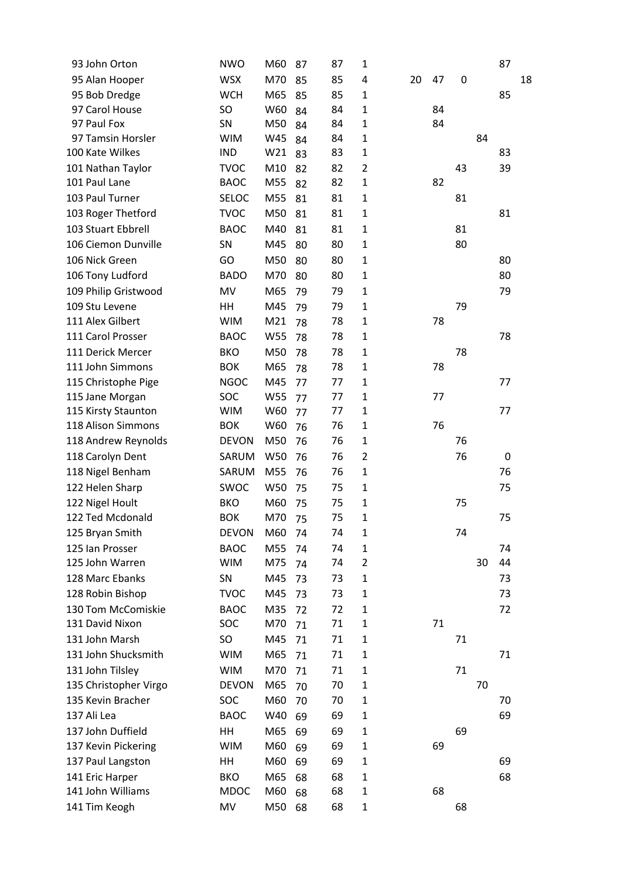| 93 John Orton         | <b>NWO</b>   | M60 | 87 | 87 | $\mathbf{1}$   |    |    |    |    | 87 |    |
|-----------------------|--------------|-----|----|----|----------------|----|----|----|----|----|----|
| 95 Alan Hooper        | <b>WSX</b>   | M70 | 85 | 85 | 4              | 20 | 47 | 0  |    |    | 18 |
| 95 Bob Dredge         | <b>WCH</b>   | M65 | 85 | 85 | $\mathbf{1}$   |    |    |    |    | 85 |    |
| 97 Carol House        | SO           | W60 | 84 | 84 | $\mathbf{1}$   |    | 84 |    |    |    |    |
| 97 Paul Fox           | SN           | M50 | 84 | 84 | $\mathbf 1$    |    | 84 |    |    |    |    |
| 97 Tamsin Horsler     | <b>WIM</b>   | W45 | 84 | 84 | $\mathbf 1$    |    |    |    | 84 |    |    |
| 100 Kate Wilkes       | <b>IND</b>   | W21 | 83 | 83 | $\mathbf{1}$   |    |    |    |    | 83 |    |
| 101 Nathan Taylor     | <b>TVOC</b>  | M10 | 82 | 82 | $\overline{2}$ |    |    | 43 |    | 39 |    |
| 101 Paul Lane         | <b>BAOC</b>  | M55 | 82 | 82 | $\mathbf{1}$   |    | 82 |    |    |    |    |
| 103 Paul Turner       | <b>SELOC</b> | M55 | 81 | 81 | $\mathbf{1}$   |    |    | 81 |    |    |    |
| 103 Roger Thetford    | <b>TVOC</b>  | M50 | 81 | 81 | $\mathbf{1}$   |    |    |    |    | 81 |    |
| 103 Stuart Ebbrell    | <b>BAOC</b>  | M40 | 81 | 81 | $\mathbf{1}$   |    |    | 81 |    |    |    |
| 106 Ciemon Dunville   | SN           | M45 | 80 | 80 | 1              |    |    | 80 |    |    |    |
| 106 Nick Green        | GO           | M50 | 80 | 80 | $\mathbf{1}$   |    |    |    |    | 80 |    |
| 106 Tony Ludford      | <b>BADO</b>  | M70 | 80 | 80 | $\mathbf 1$    |    |    |    |    | 80 |    |
| 109 Philip Gristwood  | MV           | M65 | 79 | 79 | $\mathbf{1}$   |    |    |    |    | 79 |    |
| 109 Stu Levene        | HH           | M45 | 79 | 79 | $\mathbf{1}$   |    |    | 79 |    |    |    |
| 111 Alex Gilbert      | <b>WIM</b>   | M21 | 78 | 78 | $\mathbf 1$    |    | 78 |    |    |    |    |
| 111 Carol Prosser     | <b>BAOC</b>  | W55 | 78 | 78 | $\mathbf{1}$   |    |    |    |    | 78 |    |
| 111 Derick Mercer     | <b>BKO</b>   | M50 | 78 | 78 | 1              |    |    | 78 |    |    |    |
| 111 John Simmons      | <b>BOK</b>   | M65 | 78 | 78 | $\mathbf{1}$   |    | 78 |    |    |    |    |
| 115 Christophe Pige   | <b>NGOC</b>  | M45 | 77 | 77 | $\mathbf{1}$   |    |    |    |    | 77 |    |
| 115 Jane Morgan       | SOC          | W55 | 77 | 77 | $\mathbf{1}$   |    | 77 |    |    |    |    |
| 115 Kirsty Staunton   | <b>WIM</b>   | W60 | 77 | 77 | $\mathbf{1}$   |    |    |    |    | 77 |    |
| 118 Alison Simmons    | <b>BOK</b>   | W60 | 76 | 76 | $\mathbf{1}$   |    | 76 |    |    |    |    |
| 118 Andrew Reynolds   | <b>DEVON</b> | M50 | 76 | 76 | $\mathbf{1}$   |    |    | 76 |    |    |    |
| 118 Carolyn Dent      | SARUM        | W50 | 76 | 76 | $\overline{2}$ |    |    | 76 |    | 0  |    |
| 118 Nigel Benham      | SARUM        | M55 | 76 | 76 | $\mathbf{1}$   |    |    |    |    | 76 |    |
| 122 Helen Sharp       | SWOC         | W50 | 75 | 75 | $\mathbf{1}$   |    |    |    |    | 75 |    |
| 122 Nigel Hoult       | <b>BKO</b>   | M60 | 75 | 75 | $\mathbf{1}$   |    |    | 75 |    |    |    |
| 122 Ted Mcdonald      | <b>BOK</b>   | M70 | 75 | 75 | $\mathbf{1}$   |    |    |    |    | 75 |    |
| 125 Bryan Smith       | <b>DEVON</b> | M60 | 74 | 74 | $\mathbf{1}$   |    |    | 74 |    |    |    |
| 125 Ian Prosser       | <b>BAOC</b>  | M55 | 74 | 74 | 1              |    |    |    |    | 74 |    |
| 125 John Warren       | <b>WIM</b>   | M75 | 74 | 74 | $\overline{2}$ |    |    |    | 30 | 44 |    |
| 128 Marc Ebanks       | SN           | M45 | 73 | 73 | $\mathbf{1}$   |    |    |    |    | 73 |    |
| 128 Robin Bishop      | <b>TVOC</b>  | M45 | 73 | 73 | $\mathbf{1}$   |    |    |    |    | 73 |    |
| 130 Tom McComiskie    | <b>BAOC</b>  | M35 | 72 | 72 | 1              |    |    |    |    | 72 |    |
| 131 David Nixon       | SOC          | M70 | 71 | 71 | $\mathbf{1}$   |    | 71 |    |    |    |    |
| 131 John Marsh        | <b>SO</b>    | M45 | 71 | 71 | $\mathbf{1}$   |    |    | 71 |    |    |    |
| 131 John Shucksmith   | <b>WIM</b>   | M65 | 71 | 71 | $\mathbf{1}$   |    |    |    |    | 71 |    |
| 131 John Tilsley      | <b>WIM</b>   | M70 | 71 | 71 | $\mathbf{1}$   |    |    | 71 |    |    |    |
| 135 Christopher Virgo | <b>DEVON</b> | M65 | 70 | 70 | 1              |    |    |    | 70 |    |    |
| 135 Kevin Bracher     | SOC          | M60 | 70 | 70 | $\mathbf{1}$   |    |    |    |    | 70 |    |
| 137 Ali Lea           | <b>BAOC</b>  | W40 | 69 | 69 | $\mathbf{1}$   |    |    |    |    | 69 |    |
| 137 John Duffield     | HH           | M65 | 69 | 69 | $\mathbf{1}$   |    |    | 69 |    |    |    |
| 137 Kevin Pickering   | <b>WIM</b>   | M60 | 69 | 69 | 1              |    | 69 |    |    |    |    |
| 137 Paul Langston     | HН           | M60 | 69 | 69 | $\mathbf{1}$   |    |    |    |    | 69 |    |
| 141 Eric Harper       | <b>BKO</b>   | M65 | 68 | 68 | $\mathbf{1}$   |    |    |    |    | 68 |    |
| 141 John Williams     | <b>MDOC</b>  | M60 | 68 | 68 | $\mathbf{1}$   |    | 68 |    |    |    |    |
| 141 Tim Keogh         | MV           | M50 | 68 | 68 | $\mathbf{1}$   |    |    | 68 |    |    |    |
|                       |              |     |    |    |                |    |    |    |    |    |    |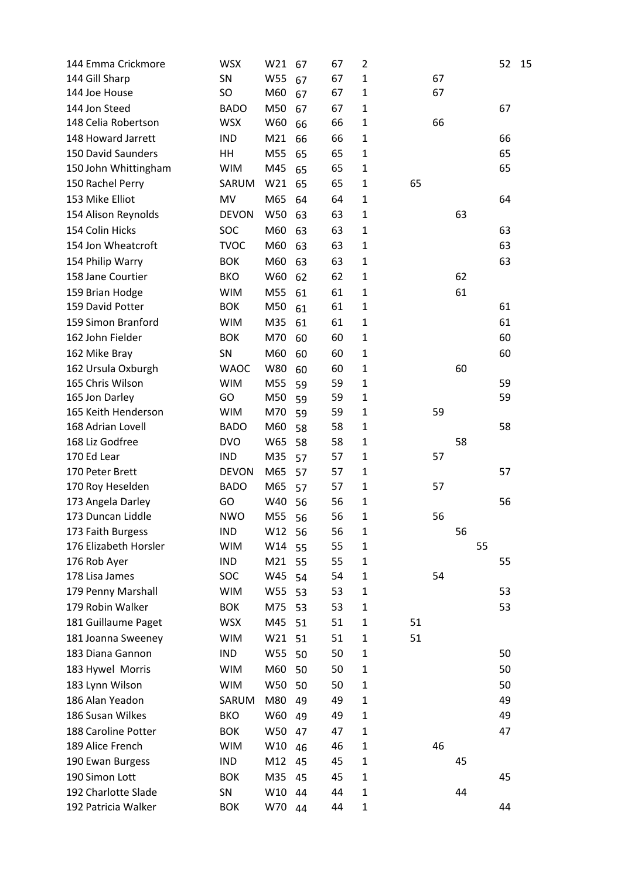| 144 Emma Crickmore        | <b>WSX</b>   | W21             | 67   | 67 | $\overline{2}$ |    |    |    |    | 52 | 15 |
|---------------------------|--------------|-----------------|------|----|----------------|----|----|----|----|----|----|
| 144 Gill Sharp            | SN           | W55             | 67   | 67 | $\mathbf{1}$   |    | 67 |    |    |    |    |
| 144 Joe House             | SO           | M60             | 67   | 67 | $\mathbf{1}$   |    | 67 |    |    |    |    |
| 144 Jon Steed             | <b>BADO</b>  | M50             | 67   | 67 | $\mathbf{1}$   |    |    |    |    | 67 |    |
| 148 Celia Robertson       | <b>WSX</b>   | W60             | 66   | 66 | $\mathbf{1}$   |    | 66 |    |    |    |    |
| 148 Howard Jarrett        | <b>IND</b>   | M21             | 66   | 66 | $\mathbf{1}$   |    |    |    |    | 66 |    |
| <b>150 David Saunders</b> | HH           | M55             | 65   | 65 | $\mathbf{1}$   |    |    |    |    | 65 |    |
| 150 John Whittingham      | <b>WIM</b>   | M45             | 65   | 65 | $\mathbf{1}$   |    |    |    |    | 65 |    |
| 150 Rachel Perry          | SARUM        | W21             | 65   | 65 | $\mathbf{1}$   | 65 |    |    |    |    |    |
| 153 Mike Elliot           | MV           | M65             | 64   | 64 | $\mathbf{1}$   |    |    |    |    | 64 |    |
| 154 Alison Reynolds       | <b>DEVON</b> | W50             | 63   | 63 | $\mathbf{1}$   |    |    | 63 |    |    |    |
| 154 Colin Hicks           | SOC          | M60             | 63   | 63 | $\mathbf{1}$   |    |    |    |    | 63 |    |
| 154 Jon Wheatcroft        | <b>TVOC</b>  | M60             | 63   | 63 | $\mathbf{1}$   |    |    |    |    | 63 |    |
| 154 Philip Warry          | <b>BOK</b>   | M60             | 63   | 63 | $\mathbf{1}$   |    |    |    |    | 63 |    |
| 158 Jane Courtier         | <b>BKO</b>   | W60             | 62   | 62 | $\mathbf{1}$   |    |    | 62 |    |    |    |
| 159 Brian Hodge           | <b>WIM</b>   | M55             | 61   | 61 | $\mathbf{1}$   |    |    | 61 |    |    |    |
| 159 David Potter          | <b>BOK</b>   | M50             | 61   | 61 | $\mathbf{1}$   |    |    |    |    | 61 |    |
| 159 Simon Branford        | <b>WIM</b>   | M35             | 61   | 61 | $\mathbf{1}$   |    |    |    |    | 61 |    |
| 162 John Fielder          | <b>BOK</b>   | M70             | 60   | 60 | $\mathbf{1}$   |    |    |    |    | 60 |    |
| 162 Mike Bray             | SN           | M60             | 60   | 60 | $\mathbf{1}$   |    |    |    |    | 60 |    |
| 162 Ursula Oxburgh        | <b>WAOC</b>  | W80             | 60   | 60 | $\mathbf{1}$   |    |    | 60 |    |    |    |
| 165 Chris Wilson          | <b>WIM</b>   | M55             | 59   | 59 | $\mathbf{1}$   |    |    |    |    | 59 |    |
| 165 Jon Darley            | GO           | M50             | 59   | 59 | $\mathbf{1}$   |    |    |    |    | 59 |    |
| 165 Keith Henderson       | <b>WIM</b>   | M70             | 59   | 59 | $\mathbf{1}$   |    | 59 |    |    |    |    |
| 168 Adrian Lovell         | <b>BADO</b>  | M60             | 58   | 58 | $\mathbf{1}$   |    |    |    |    | 58 |    |
| 168 Liz Godfree           | <b>DVO</b>   | W65             | 58   | 58 | 1              |    |    | 58 |    |    |    |
| 170 Ed Lear               | <b>IND</b>   | M35             | 57   | 57 | $\mathbf{1}$   |    | 57 |    |    |    |    |
| 170 Peter Brett           | <b>DEVON</b> | M65             | 57   | 57 | $\mathbf{1}$   |    |    |    |    | 57 |    |
| 170 Roy Heselden          | <b>BADO</b>  | M65             | 57   | 57 | $\mathbf{1}$   |    | 57 |    |    |    |    |
| 173 Angela Darley         | GO           | W40             | 56   | 56 | $\mathbf{1}$   |    |    |    |    | 56 |    |
| 173 Duncan Liddle         | <b>NWO</b>   | M55             | 56   | 56 | $\mathbf{1}$   |    | 56 |    |    |    |    |
| 173 Faith Burgess         | <b>IND</b>   | W12             | 56   | 56 | 1              |    |    | 56 |    |    |    |
| 176 Elizabeth Horsler     | <b>WIM</b>   | W14             | 55   | 55 | $\mathbf{1}$   |    |    |    | 55 |    |    |
| 176 Rob Ayer              | <b>IND</b>   | M21             | 55   | 55 | $\mathbf{1}$   |    |    |    |    | 55 |    |
| 178 Lisa James            | SOC          | W45             | 54   | 54 | $\mathbf{1}$   |    | 54 |    |    |    |    |
| 179 Penny Marshall        | <b>WIM</b>   | W55             | - 53 | 53 | $\mathbf{1}$   |    |    |    |    | 53 |    |
| 179 Robin Walker          | <b>BOK</b>   | M75             | 53   | 53 | $\mathbf{1}$   |    |    |    |    | 53 |    |
| 181 Guillaume Paget       | <b>WSX</b>   | M45             | 51   | 51 | $\mathbf{1}$   | 51 |    |    |    |    |    |
| 181 Joanna Sweeney        | <b>WIM</b>   | W <sub>21</sub> | 51   | 51 | $\mathbf{1}$   | 51 |    |    |    |    |    |
| 183 Diana Gannon          | <b>IND</b>   | W55             | 50   | 50 | $\mathbf{1}$   |    |    |    |    | 50 |    |
| 183 Hywel Morris          | <b>WIM</b>   | M60             | 50   | 50 | $\mathbf{1}$   |    |    |    |    | 50 |    |
| 183 Lynn Wilson           | <b>WIM</b>   | W50             | 50   | 50 | $\mathbf 1$    |    |    |    |    | 50 |    |
| 186 Alan Yeadon           | SARUM        | M80             | 49   | 49 | $\mathbf 1$    |    |    |    |    | 49 |    |
| 186 Susan Wilkes          | <b>BKO</b>   | W60             | 49   | 49 | $\mathbf{1}$   |    |    |    |    | 49 |    |
| 188 Caroline Potter       | <b>BOK</b>   | W50             | 47   | 47 | $\mathbf{1}$   |    |    |    |    | 47 |    |
| 189 Alice French          | <b>WIM</b>   | W10             | 46   | 46 | $\mathbf{1}$   |    | 46 |    |    |    |    |
| 190 Ewan Burgess          | <b>IND</b>   | M12             | 45   | 45 | $\mathbf{1}$   |    |    | 45 |    |    |    |
| 190 Simon Lott            | <b>BOK</b>   | M35             | 45   | 45 | $\mathbf{1}$   |    |    |    |    | 45 |    |
| 192 Charlotte Slade       | SN           | W10             | 44   | 44 | $\mathbf{1}$   |    |    | 44 |    |    |    |
| 192 Patricia Walker       | <b>BOK</b>   | W70             | 44   | 44 | $\mathbf 1$    |    |    |    |    | 44 |    |
|                           |              |                 |      |    |                |    |    |    |    |    |    |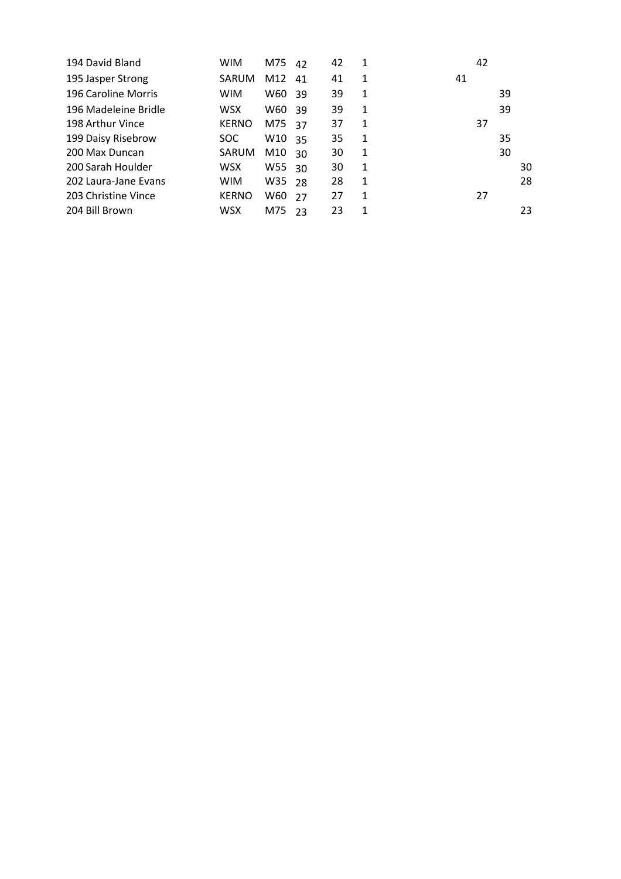|    | 39 |    |
|----|----|----|
|    | 39 |    |
| 37 |    |    |
|    | 35 |    |
|    | 30 |    |
|    |    | 30 |
|    |    | 28 |
| 27 |    |    |
|    |    | 23 |
|    | 42 |    |